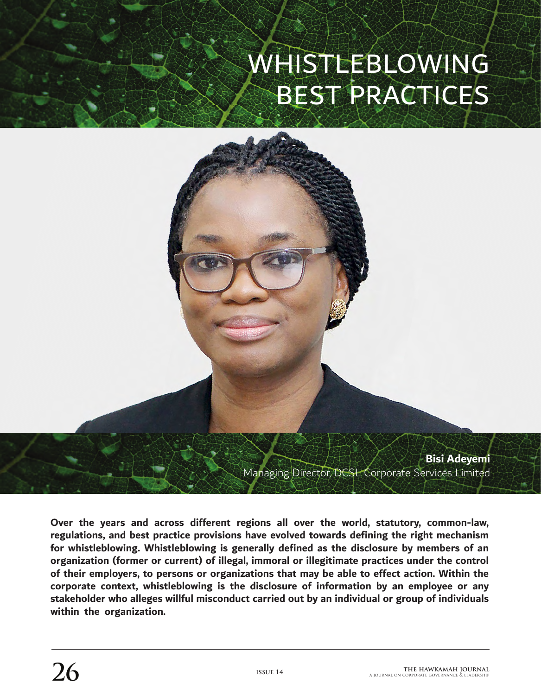## WHISTLEBLOWING BEST PRACTICES



**Over the years and across different regions all over the world, statutory, common-law, regulations, and best practice provisions have evolved towards defining the right mechanism for whistleblowing. Whistleblowing is generally defined as the disclosure by members of an organization (former or current) of illegal, immoral or illegitimate practices under the control of their employers, to persons or organizations that may be able to effect action. Within the corporate context, whistleblowing is the disclosure of information by an employee or any stakeholder who alleges willful misconduct carried out by an individual or group of individuals within the organization.**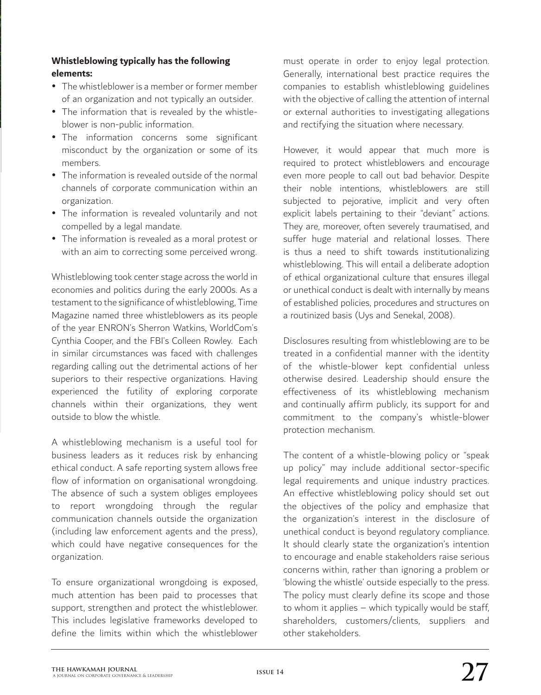## **Whistleblowing typically has the following elements:**

- The whistleblower is a member or former member of an organization and not typically an outsider.
- The information that is revealed by the whistleblower is non-public information.
- The information concerns some significant misconduct by the organization or some of its members.
- $\bullet$  The information is revealed outside of the normal channels of corporate communication within an organization.
- The information is revealed voluntarily and not compelled by a legal mandate.
- The information is revealed as a moral protest or with an aim to correcting some perceived wrong.

Whistleblowing took center stage across the world in economies and politics during the early 2000s. As a testament to the significance of whistleblowing, Time Magazine named three whistleblowers as its people of the year ENRON's Sherron Watkins, WorldCom's Cynthia Cooper, and the FBI's Colleen Rowley. Each in similar circumstances was faced with challenges regarding calling out the detrimental actions of her superiors to their respective organizations. Having experienced the futility of exploring corporate channels within their organizations, they went outside to blow the whistle.

A whistleblowing mechanism is a useful tool for business leaders as it reduces risk by enhancing ethical conduct. A safe reporting system allows free flow of information on organisational wrongdoing. The absence of such a system obliges employees to report wrongdoing through the regular communication channels outside the organization (including law enforcement agents and the press), which could have negative consequences for the organization.

To ensure organizational wrongdoing is exposed, much attention has been paid to processes that support, strengthen and protect the whistleblower. This includes legislative frameworks developed to define the limits within which the whistleblower must operate in order to enjoy legal protection. Generally, international best practice requires the companies to establish whistleblowing guidelines with the objective of calling the attention of internal or external authorities to investigating allegations and rectifying the situation where necessary.

However, it would appear that much more is required to protect whistleblowers and encourage even more people to call out bad behavior. Despite their noble intentions, whistleblowers are still subjected to pejorative, implicit and very often explicit labels pertaining to their "deviant" actions. They are, moreover, often severely traumatised, and suffer huge material and relational losses. There is thus a need to shift towards institutionalizing whistleblowing. This will entail a deliberate adoption of ethical organizational culture that ensures illegal or unethical conduct is dealt with internally by means of established policies, procedures and structures on a routinized basis (Uys and Senekal, 2008).

Disclosures resulting from whistleblowing are to be treated in a confidential manner with the identity of the whistle-blower kept confidential unless otherwise desired. Leadership should ensure the effectiveness of its whistleblowing mechanism and continually affirm publicly, its support for and commitment to the company's whistle-blower protection mechanism.

The content of a whistle-blowing policy or "speak up policy" may include additional sector-specific legal requirements and unique industry practices. An effective whistleblowing policy should set out the objectives of the policy and emphasize that the organization's interest in the disclosure of unethical conduct is beyond regulatory compliance. It should clearly state the organization's intention to encourage and enable stakeholders raise serious concerns within, rather than ignoring a problem or 'blowing the whistle' outside especially to the press. The policy must clearly define its scope and those to whom it applies – which typically would be staff, shareholders, customers/clients, suppliers and other stakeholders.

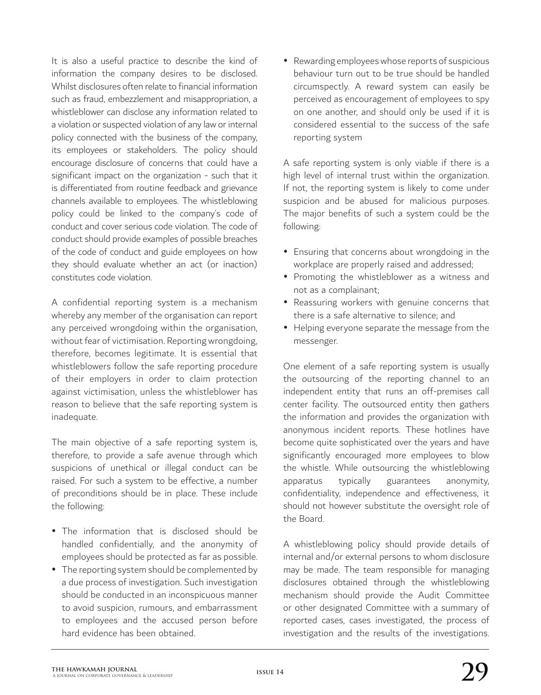It is also a useful practice to describe the kind of information the company desires to be disclosed. Whilst disclosures often relate to financial information such as fraud, embezzlement and misappropriation, a whistleblower can disclose any information related to a violation or suspected violation of any law or internal policy connected with the business of the company, its employees or stakeholders. The policy should encourage disclosure of concerns that could have a significant impact on the organization - such that it is differentiated from routine feedback and grievance channels available to employees. The whistleblowing policy could be linked to the company's code of conduct and cover serious code violation. The code of conduct should provide examples of possible breaches of the code of conduct and guide employees on how they should evaluate whether an act (or inaction) constitutes code violation.

A confidential reporting system is a mechanism whereby any member of the organisation can report any perceived wrongdoing within the organisation, without fear of victimisation. Reporting wrongdoing, therefore, becomes legitimate. It is essential that whistleblowers follow the safe reporting procedure of their employers in order to claim protection against victimisation, unless the whistleblower has reason to believe that the safe reporting system is inadequate.

The main objective of a safe reporting system is, therefore, to provide a safe avenue through which suspicions of unethical or illegal conduct can be raised. For such a system to be effective, a number of preconditions should be in place. These include the following:

- The information that is disclosed should be handled confidentially, and the anonymity of employees should be protected as far as possible.
- The reporting system should be complemented by a due process of investigation. Such investigation should be conducted in an inconspicuous manner to avoid suspicion, rumours, and embarrassment to employees and the accused person before hard evidence has been obtained.

• Rewarding employees whose reports of suspicious behaviour turn out to be true should be handled circumspectly. A reward system can easily be perceived as encouragement of employees to spy on one another, and should only be used if it is considered essential to the success of the safe reporting system

A safe reporting system is only viable if there is a high level of internal trust within the organization. If not, the reporting system is likely to come under suspicion and be abused for malicious purposes. The major benefits of such a system could be the following:

- Ensuring that concerns about wrongdoing in the workplace are properly raised and addressed;
- Promoting the whistleblower as a witness and not as a complainant;
- Reassuring workers with genuine concerns that there is a safe alternative to silence; and
- Helping everyone separate the message from the messenger.

One element of a safe reporting system is usually the outsourcing of the reporting channel to an independent entity that runs an off-premises call center facility. The outsourced entity then gathers the information and provides the organization with anonymous incident reports. These hotlines have become quite sophisticated over the years and have significantly encouraged more employees to blow the whistle. While outsourcing the whistleblowing apparatus typically guarantees anonymity, confidentiality, independence and effectiveness, it should not however substitute the oversight role of the Board.

A whistleblowing policy should provide details of internal and/or external persons to whom disclosure may be made. The team responsible for managing disclosures obtained through the whistleblowing mechanism should provide the Audit Committee or other designated Committee with a summary of reported cases, cases investigated, the process of investigation and the results of the investigations.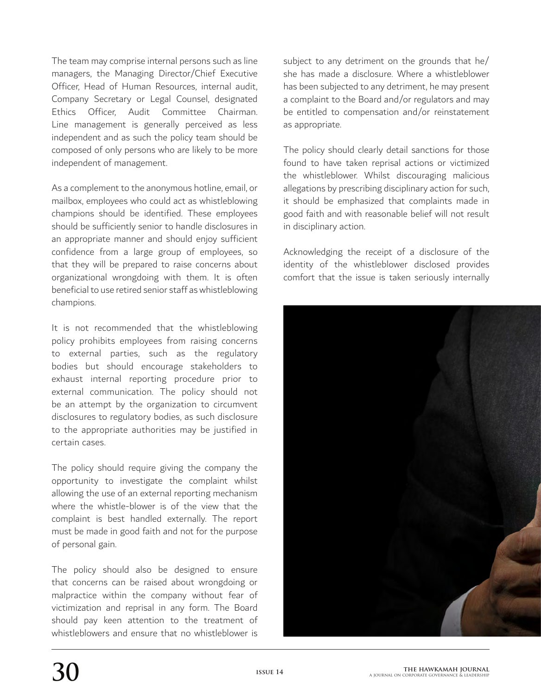The team may comprise internal persons such as line managers, the Managing Director/Chief Executive Officer, Head of Human Resources, internal audit, Company Secretary or Legal Counsel, designated Ethics Officer, Audit Committee Chairman. Line management is generally perceived as less independent and as such the policy team should be composed of only persons who are likely to be more independent of management.

As a complement to the anonymous hotline, email, or mailbox, employees who could act as whistleblowing champions should be identified. These employees should be sufficiently senior to handle disclosures in an appropriate manner and should enjoy sufficient confidence from a large group of employees, so that they will be prepared to raise concerns about organizational wrongdoing with them. It is often beneficial to use retired senior staff as whistleblowing champions.

It is not recommended that the whistleblowing policy prohibits employees from raising concerns to external parties, such as the regulatory bodies but should encourage stakeholders to exhaust internal reporting procedure prior to external communication. The policy should not be an attempt by the organization to circumvent disclosures to regulatory bodies, as such disclosure to the appropriate authorities may be justified in certain cases.

The policy should require giving the company the opportunity to investigate the complaint whilst allowing the use of an external reporting mechanism where the whistle-blower is of the view that the complaint is best handled externally. The report must be made in good faith and not for the purpose of personal gain.

The policy should also be designed to ensure that concerns can be raised about wrongdoing or malpractice within the company without fear of victimization and reprisal in any form. The Board should pay keen attention to the treatment of whistleblowers and ensure that no whistleblower is

subject to any detriment on the grounds that he/ she has made a disclosure. Where a whistleblower has been subjected to any detriment, he may present a complaint to the Board and/or regulators and may be entitled to compensation and/or reinstatement as appropriate.

The policy should clearly detail sanctions for those found to have taken reprisal actions or victimized the whistleblower. Whilst discouraging malicious allegations by prescribing disciplinary action for such, it should be emphasized that complaints made in good faith and with reasonable belief will not result in disciplinary action.

Acknowledging the receipt of a disclosure of the identity of the whistleblower disclosed provides comfort that the issue is taken seriously internally